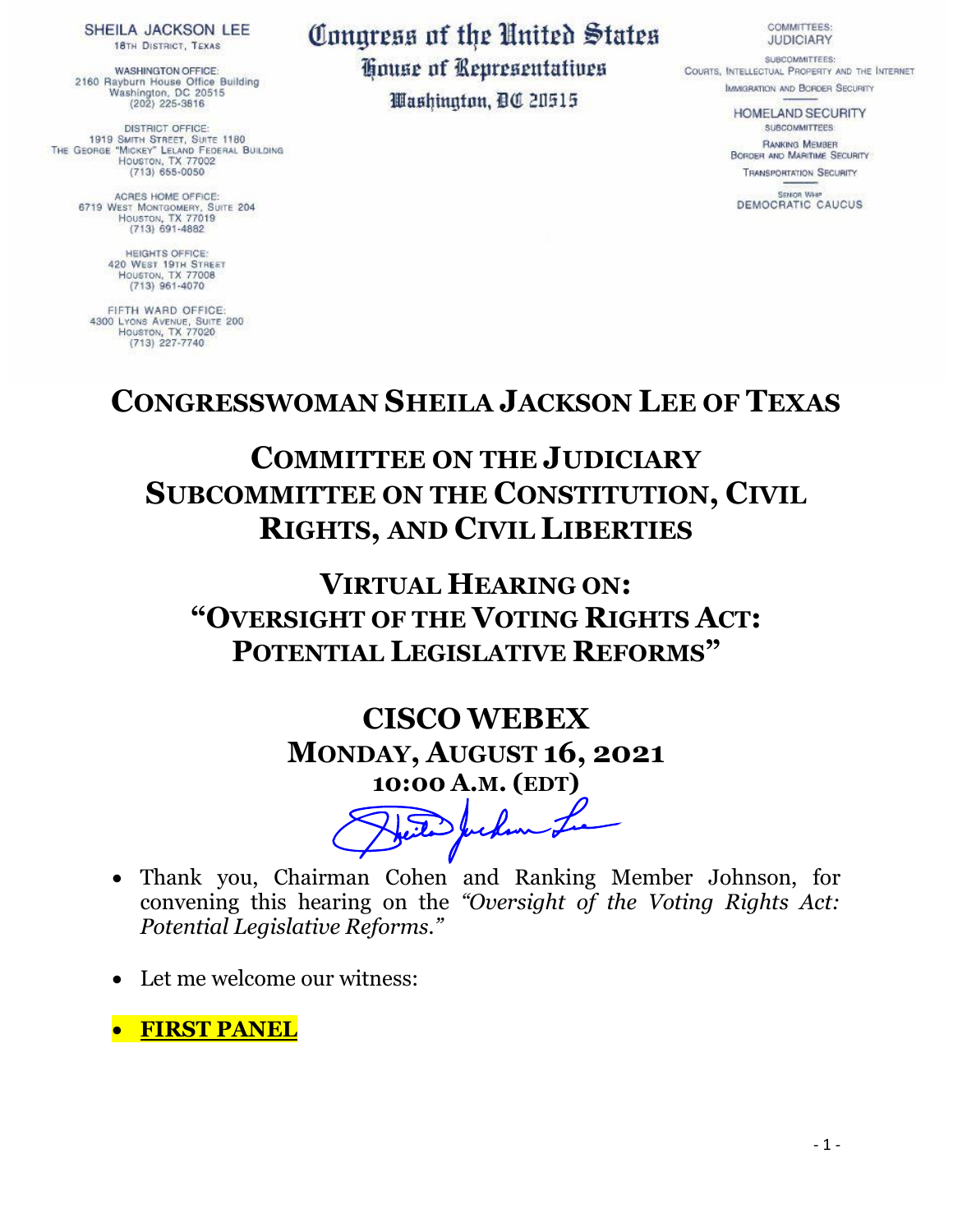SHEILA JACKSON LEE **18TH DISTRICT, TEXAS** 

**WASHINGTON OFFICE:** 2160 Rayburn House Office Building<br>Washington, DC 20515<br>(202) 225-3816

DISTRICT OFFICE: 1919 SMITH STREET, SUITE 1180 THE GEORGE "MICKEY" LELAND FEDERAL BUILDING HOUSTON, TX 77002  $(713) 655 - 0050$ 

> ACRES HOME OFFICE: 6719 WEST MONTGOMERY, SUITE 204  $(713)$  691-4882

> > HEIGHTS OFFICE:<br>420 WEST 19TH STREET<br>HOUSTON, TX 77008  $(713)$  961-4070

FIFTH WARD OFFICE: 4300 LYONS AVENUE, SUITE 200  $(713)$  227-7740

## Congress of the United States House of Representatives Washington, DC 20515

**COMMITTEES: JUDICIARY** 

SUBCOMMITTEES: COURTS, INTELLECTUAL PROPERTY AND THE INTERNET **IMMGRATION AND BORDER SECURITY** 

> HOMELAND SECURITY SUBCOMMITTEES

RANKING MEMBER **BORDER AND MARITIME SECURITY TRANSPORTATION SECURITY** 

SENOR WHO DEMOCRATIC CAUCUS

## **CONGRESSWOMAN SHEILA JACKSON LEE OF TEXAS**

## **COMMITTEE ON THE JUDICIARY SUBCOMMITTEE ON THE CONSTITUTION, CIVIL RIGHTS, AND CIVIL LIBERTIES**

**VIRTUAL HEARING ON: "OVERSIGHT OF THE VOTING RIGHTS ACT: POTENTIAL LEGISLATIVE REFORMS"**

## **CISCO WEBEX MONDAY, AUGUST 16, 2021 10:00 A.M. (EDT)**

feiter Juckin

- Thank you, Chairman Cohen and Ranking Member Johnson, for convening this hearing on the *"Oversight of the Voting Rights Act: Potential Legislative Reforms."*
- Let me welcome our witness:

• **FIRST PANEL**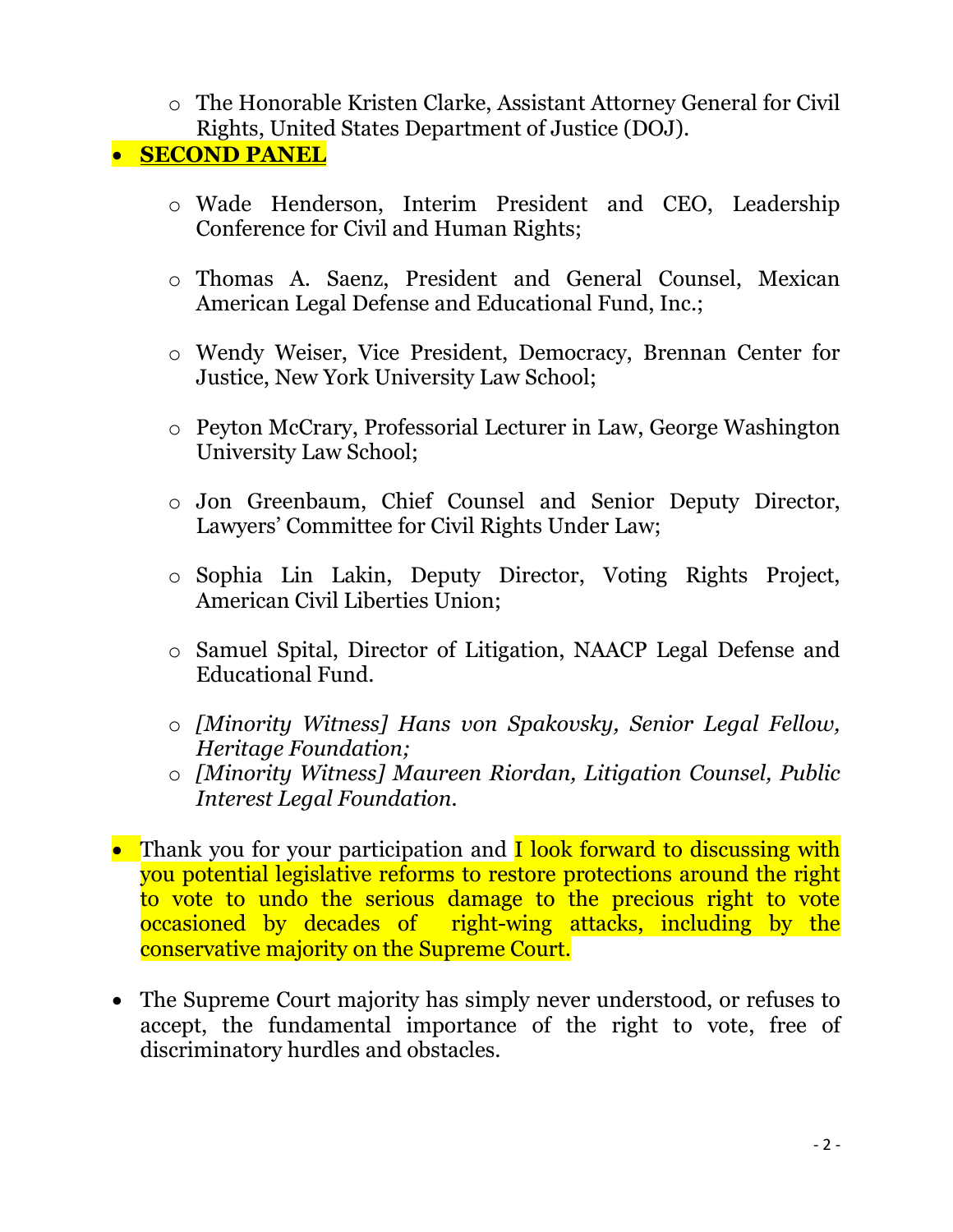o The Honorable Kristen Clarke, Assistant Attorney General for Civil Rights, United States Department of Justice (DOJ).

• **SECOND PANEL**

- o Wade Henderson, Interim President and CEO, Leadership Conference for Civil and Human Rights;
- o Thomas A. Saenz, President and General Counsel, Mexican American Legal Defense and Educational Fund, Inc.;
- o Wendy Weiser, Vice President, Democracy, Brennan Center for Justice, New York University Law School;
- o Peyton McCrary, Professorial Lecturer in Law, George Washington University Law School;
- o Jon Greenbaum, Chief Counsel and Senior Deputy Director, Lawyers' Committee for Civil Rights Under Law;
- o Sophia Lin Lakin, Deputy Director, Voting Rights Project, American Civil Liberties Union;
- o Samuel Spital, Director of Litigation, NAACP Legal Defense and Educational Fund.
- o *[Minority Witness] Hans von Spakovsky, Senior Legal Fellow, Heritage Foundation;*
- o *[Minority Witness] Maureen Riordan, Litigation Counsel, Public Interest Legal Foundation.*
- Thank you for your participation and **I look forward to discussing with** you potential legislative reforms to restore protections around the right to vote to undo the serious damage to the precious right to vote occasioned by decades of right-wing attacks, including by the conservative majority on the Supreme Court.
- The Supreme Court majority has simply never understood, or refuses to accept, the fundamental importance of the right to vote, free of discriminatory hurdles and obstacles.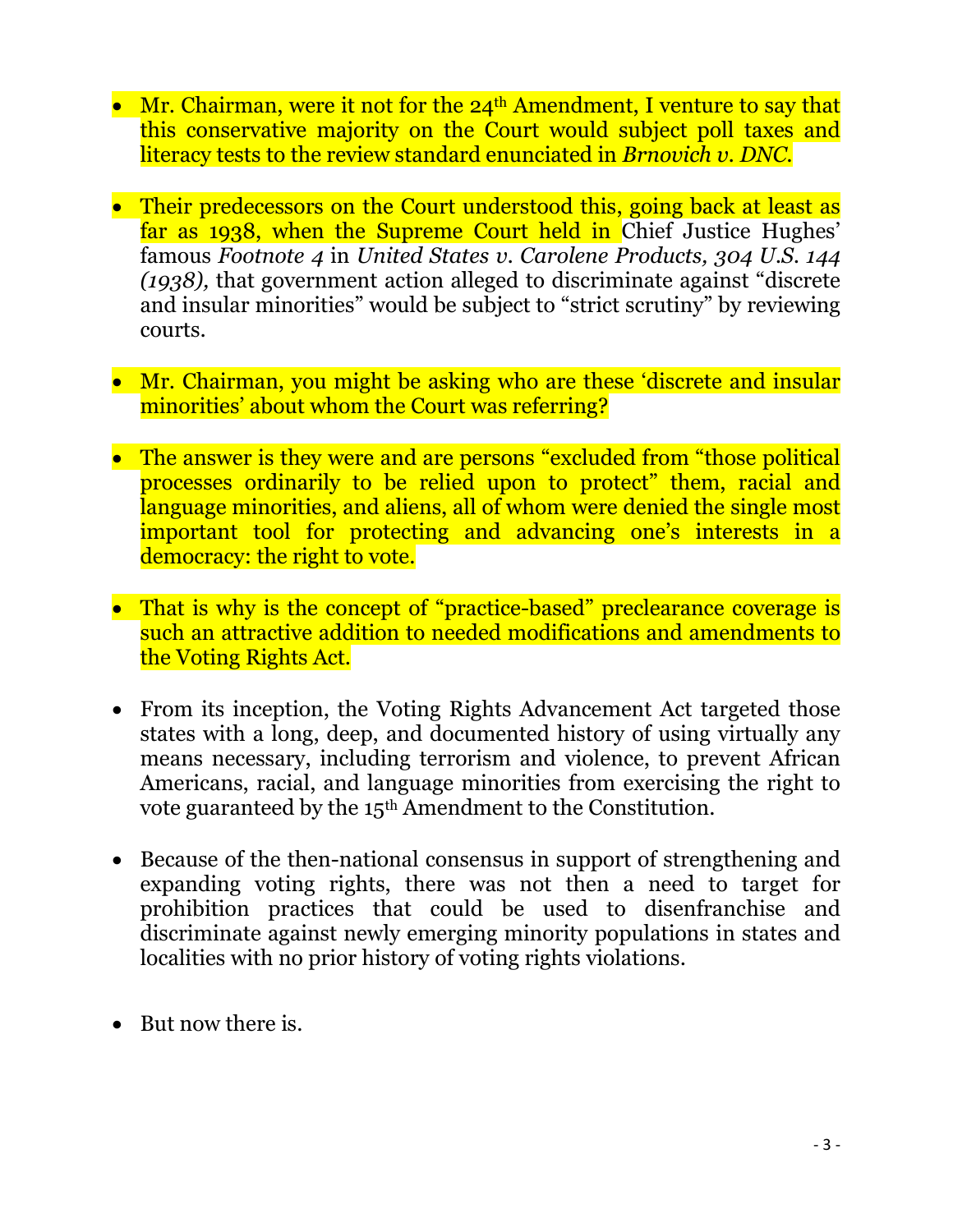- Mr. Chairman, were it not for the  $24<sup>th</sup>$  Amendment, I venture to say that this conservative majority on the Court would subject poll taxes and literacy tests to the review standard enunciated in *Brnovich v. DNC.*
- Their predecessors on the Court understood this, going back at least as far as 1938, when the Supreme Court held in Chief Justice Hughes' famous *Footnote 4* in *United States v. Carolene Products, 304 U.S. 144 (1938),* that government action alleged to discriminate against "discrete and insular minorities" would be subject to "strict scrutiny" by reviewing courts.
- Mr. Chairman, you might be asking who are these 'discrete and insular minorities' about whom the Court was referring?
- The answer is they were and are persons "excluded from "those political processes ordinarily to be relied upon to protect" them, racial and language minorities, and aliens, all of whom were denied the single most important tool for protecting and advancing one's interests in a democracy: the right to vote.
- That is why is the concept of "practice-based" preclearance coverage is such an attractive addition to needed modifications and amendments to the Voting Rights Act.
- From its inception, the Voting Rights Advancement Act targeted those states with a long, deep, and documented history of using virtually any means necessary, including terrorism and violence, to prevent African Americans, racial, and language minorities from exercising the right to vote guaranteed by the 15th Amendment to the Constitution.
- Because of the then-national consensus in support of strengthening and expanding voting rights, there was not then a need to target for prohibition practices that could be used to disenfranchise and discriminate against newly emerging minority populations in states and localities with no prior history of voting rights violations.
- But now there is.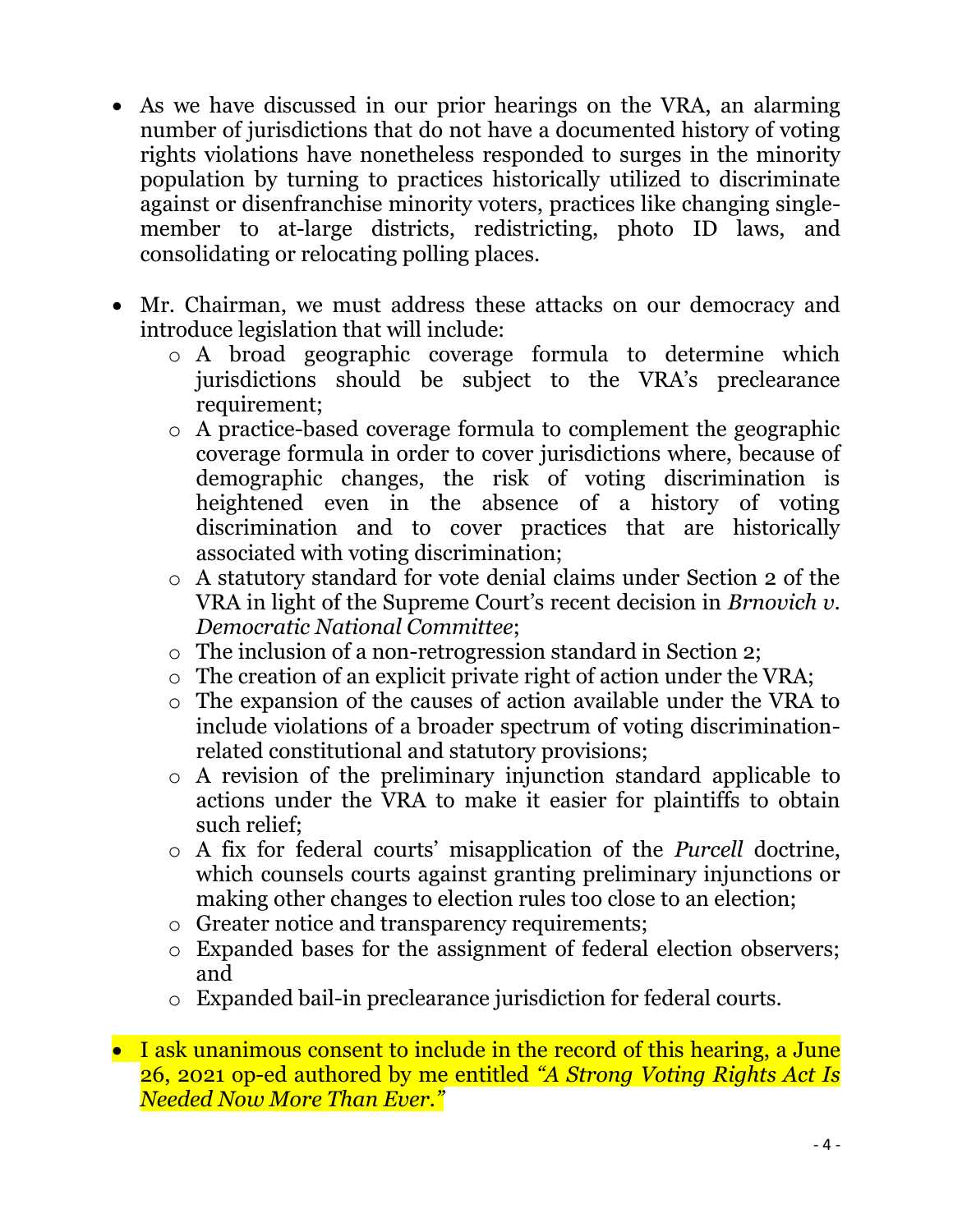- As we have discussed in our prior hearings on the VRA, an alarming number of jurisdictions that do not have a documented history of voting rights violations have nonetheless responded to surges in the minority population by turning to practices historically utilized to discriminate against or disenfranchise minority voters, practices like changing singlemember to at-large districts, redistricting, photo ID laws, and consolidating or relocating polling places.
- Mr. Chairman, we must address these attacks on our democracy and introduce legislation that will include:
	- o A broad geographic coverage formula to determine which jurisdictions should be subject to the VRA's preclearance requirement;
	- o A practice-based coverage formula to complement the geographic coverage formula in order to cover jurisdictions where, because of demographic changes, the risk of voting discrimination is heightened even in the absence of a history of voting discrimination and to cover practices that are historically associated with voting discrimination;
	- o A statutory standard for vote denial claims under Section 2 of the VRA in light of the Supreme Court's recent decision in *Brnovich v. Democratic National Committee*;
	- o The inclusion of a non-retrogression standard in Section 2;
	- o The creation of an explicit private right of action under the VRA;
	- o The expansion of the causes of action available under the VRA to include violations of a broader spectrum of voting discriminationrelated constitutional and statutory provisions;
	- o A revision of the preliminary injunction standard applicable to actions under the VRA to make it easier for plaintiffs to obtain such relief;
	- o A fix for federal courts' misapplication of the *Purcell* doctrine, which counsels courts against granting preliminary injunctions or making other changes to election rules too close to an election;
	- o Greater notice and transparency requirements;
	- o Expanded bases for the assignment of federal election observers; and
	- o Expanded bail-in preclearance jurisdiction for federal courts.
- I ask unanimous consent to include in the record of this hearing, a June 26, 2021 op-ed authored by me entitled *"A Strong Voting Rights Act Is Needed Now More Than Ever."*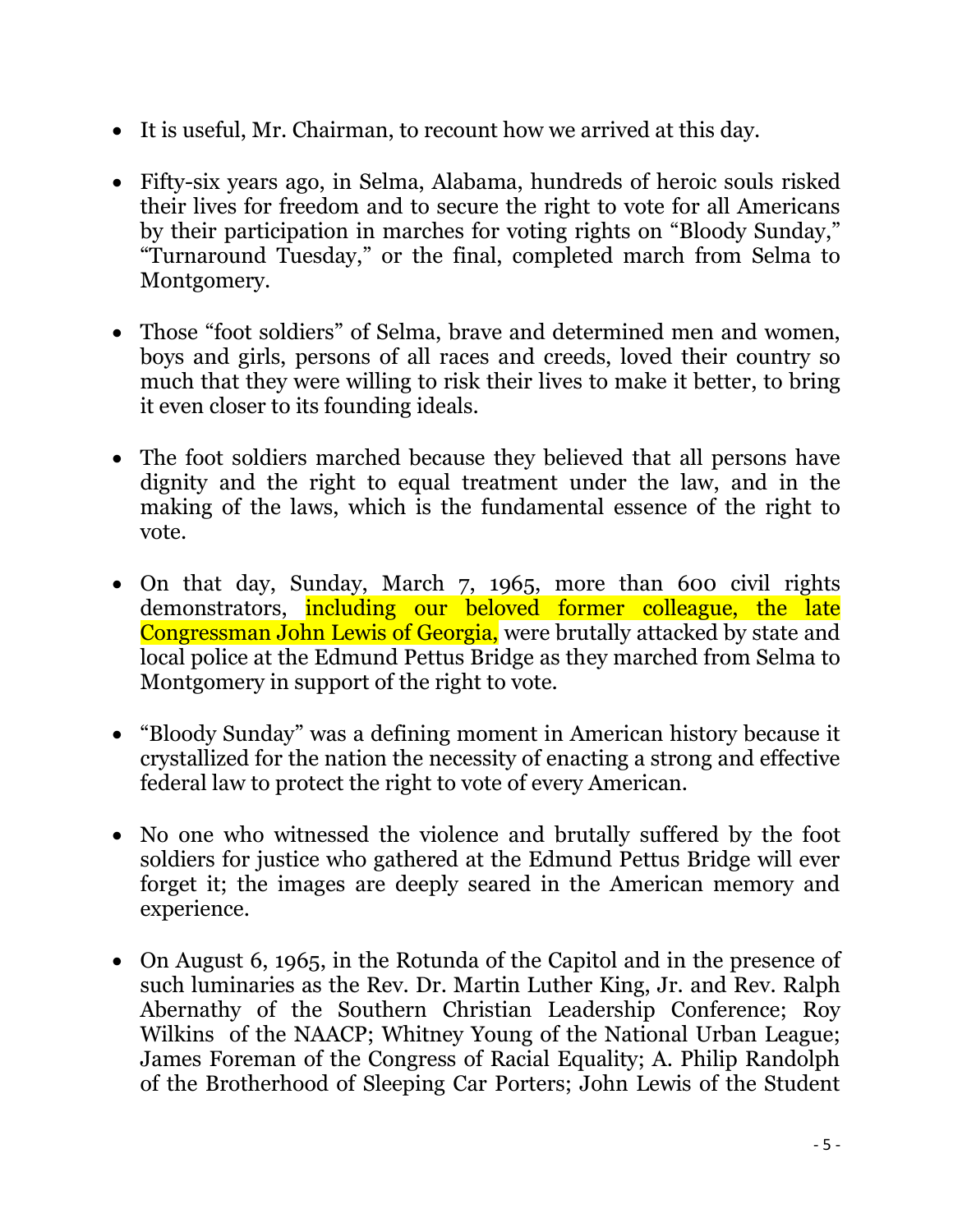- It is useful, Mr. Chairman, to recount how we arrived at this day.
- Fifty-six years ago, in Selma, Alabama, hundreds of heroic souls risked their lives for freedom and to secure the right to vote for all Americans by their participation in marches for voting rights on "Bloody Sunday," "Turnaround Tuesday," or the final, completed march from Selma to Montgomery.
- Those "foot soldiers" of Selma, brave and determined men and women, boys and girls, persons of all races and creeds, loved their country so much that they were willing to risk their lives to make it better, to bring it even closer to its founding ideals.
- The foot soldiers marched because they believed that all persons have dignity and the right to equal treatment under the law, and in the making of the laws, which is the fundamental essence of the right to vote.
- On that day, Sunday, March 7, 1965, more than 600 civil rights demonstrators, including our beloved former colleague, the late Congressman John Lewis of Georgia, were brutally attacked by state and local police at the Edmund Pettus Bridge as they marched from Selma to Montgomery in support of the right to vote.
- "Bloody Sunday" was a defining moment in American history because it crystallized for the nation the necessity of enacting a strong and effective federal law to protect the right to vote of every American.
- No one who witnessed the violence and brutally suffered by the foot soldiers for justice who gathered at the Edmund Pettus Bridge will ever forget it; the images are deeply seared in the American memory and experience.
- On August 6, 1965, in the Rotunda of the Capitol and in the presence of such luminaries as the Rev. Dr. Martin Luther King, Jr. and Rev. Ralph Abernathy of the Southern Christian Leadership Conference; Roy Wilkins of the NAACP; Whitney Young of the National Urban League; James Foreman of the Congress of Racial Equality; A. Philip Randolph of the Brotherhood of Sleeping Car Porters; John Lewis of the Student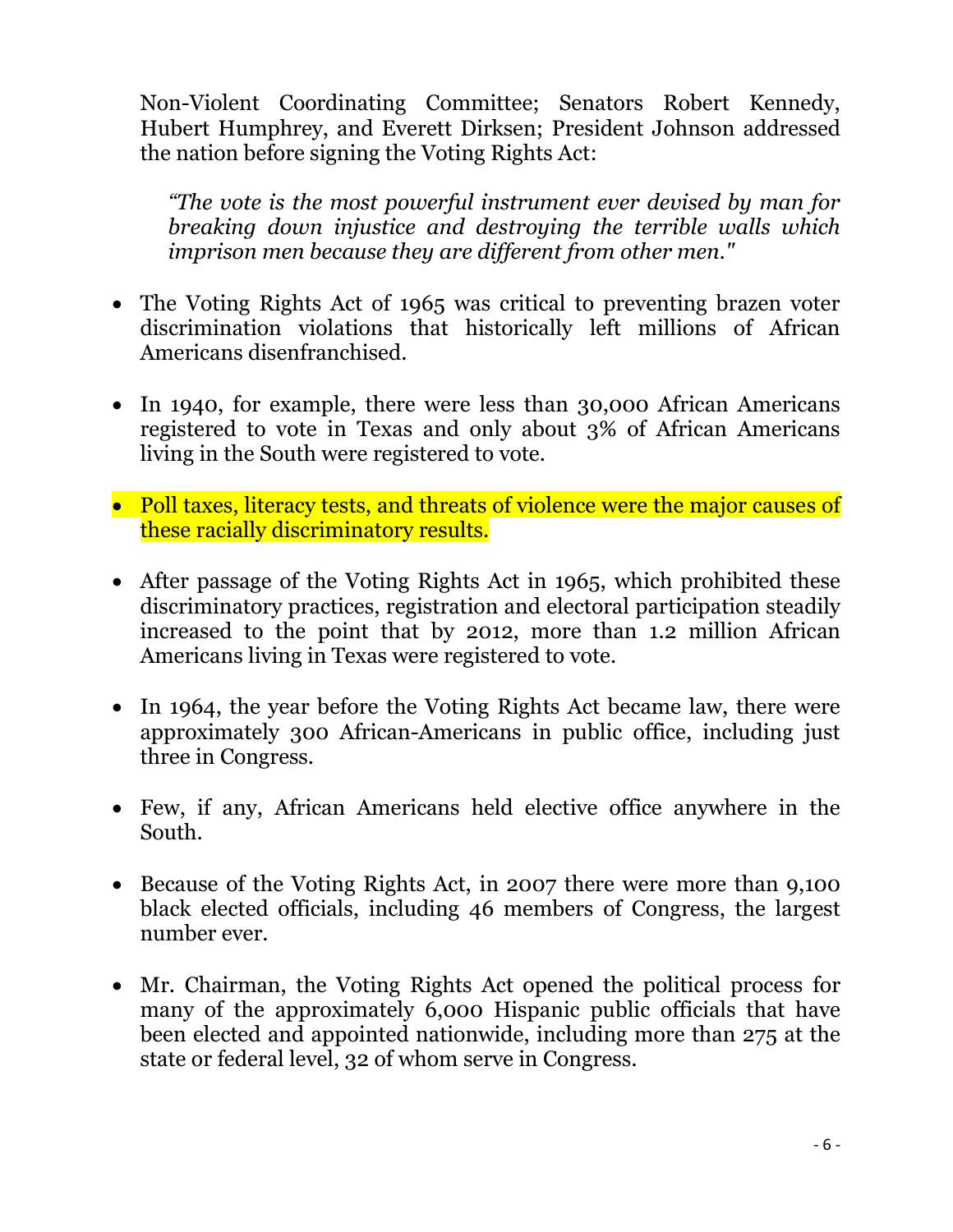Non-Violent Coordinating Committee; Senators Robert Kennedy, Hubert Humphrey, and Everett Dirksen; President Johnson addressed the nation before signing the Voting Rights Act:

*"The vote is the most powerful instrument ever devised by man for breaking down injustice and destroying the terrible walls which imprison men because they are different from other men."* 

- The Voting Rights Act of 1965 was critical to preventing brazen voter discrimination violations that historically left millions of African Americans disenfranchised.
- In 1940, for example, there were less than 30,000 African Americans registered to vote in Texas and only about 3% of African Americans living in the South were registered to vote.
- Poll taxes, literacy tests, and threats of violence were the major causes of these racially discriminatory results.
- After passage of the Voting Rights Act in 1965, which prohibited these discriminatory practices, registration and electoral participation steadily increased to the point that by 2012, more than 1.2 million African Americans living in Texas were registered to vote.
- In 1964, the year before the Voting Rights Act became law, there were approximately 300 African-Americans in public office, including just three in Congress.
- Few, if any, African Americans held elective office anywhere in the South.
- Because of the Voting Rights Act, in 2007 there were more than 9,100 black elected officials, including 46 members of Congress, the largest number ever.
- Mr. Chairman, the Voting Rights Act opened the political process for many of the approximately 6,000 Hispanic public officials that have been elected and appointed nationwide, including more than 275 at the state or federal level, 32 of whom serve in Congress.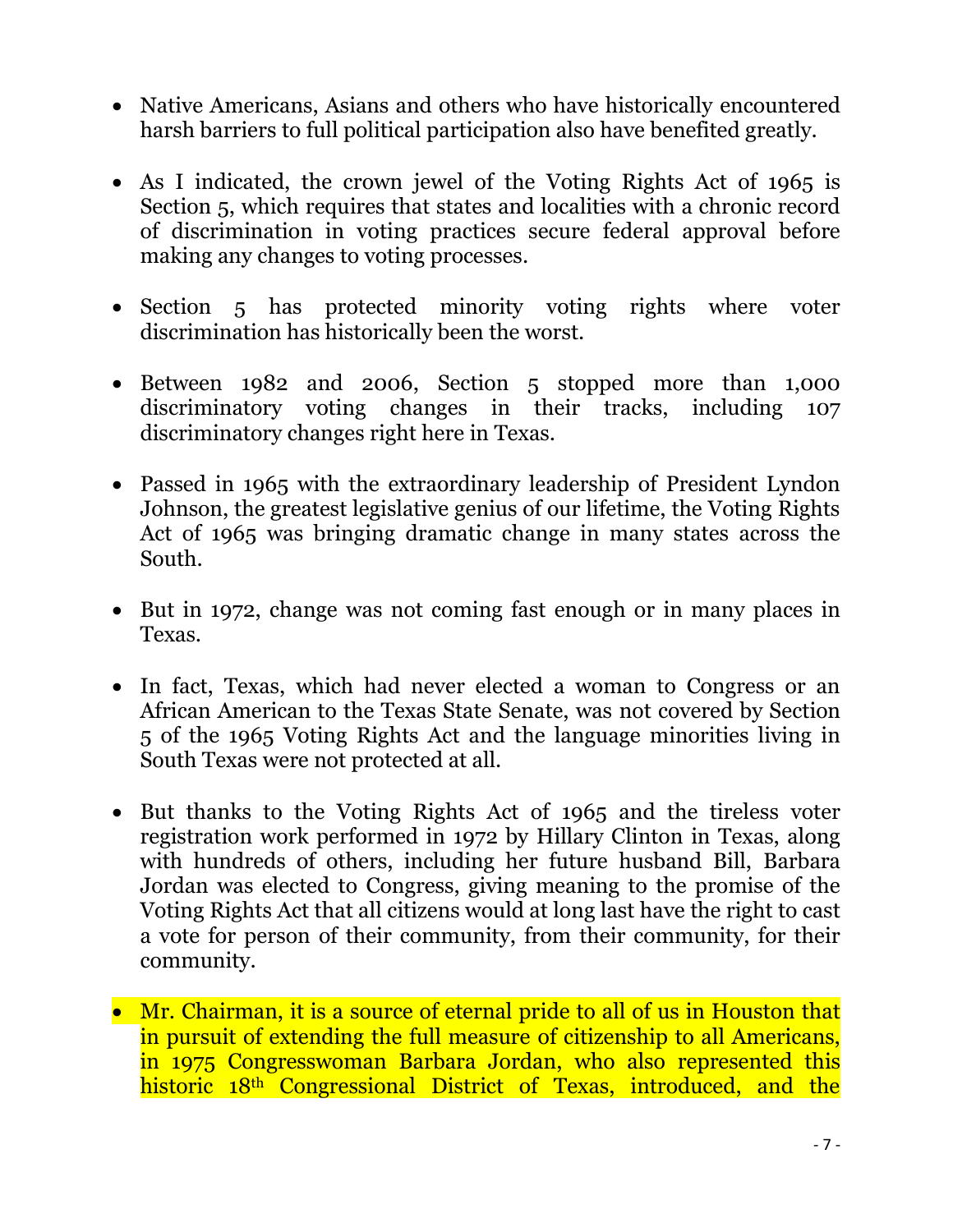- Native Americans, Asians and others who have historically encountered harsh barriers to full political participation also have benefited greatly.
- As I indicated, the crown jewel of the Voting Rights Act of 1965 is Section 5, which requires that states and localities with a chronic record of discrimination in voting practices secure federal approval before making any changes to voting processes.
- Section 5 has protected minority voting rights where voter discrimination has historically been the worst.
- Between 1982 and 2006, Section 5 stopped more than 1,000 discriminatory voting changes in their tracks, including 107 discriminatory changes right here in Texas.
- Passed in 1965 with the extraordinary leadership of President Lyndon Johnson, the greatest legislative genius of our lifetime, the Voting Rights Act of 1965 was bringing dramatic change in many states across the South.
- But in 1972, change was not coming fast enough or in many places in Texas.
- In fact, Texas, which had never elected a woman to Congress or an African American to the Texas State Senate, was not covered by Section 5 of the 1965 Voting Rights Act and the language minorities living in South Texas were not protected at all.
- But thanks to the Voting Rights Act of 1965 and the tireless voter registration work performed in 1972 by Hillary Clinton in Texas, along with hundreds of others, including her future husband Bill, Barbara Jordan was elected to Congress, giving meaning to the promise of the Voting Rights Act that all citizens would at long last have the right to cast a vote for person of their community, from their community, for their community.
- Mr. Chairman, it is a source of eternal pride to all of us in Houston that in pursuit of extending the full measure of citizenship to all Americans, in 1975 Congresswoman Barbara Jordan, who also represented this historic 18<sup>th</sup> Congressional District of Texas, introduced, and the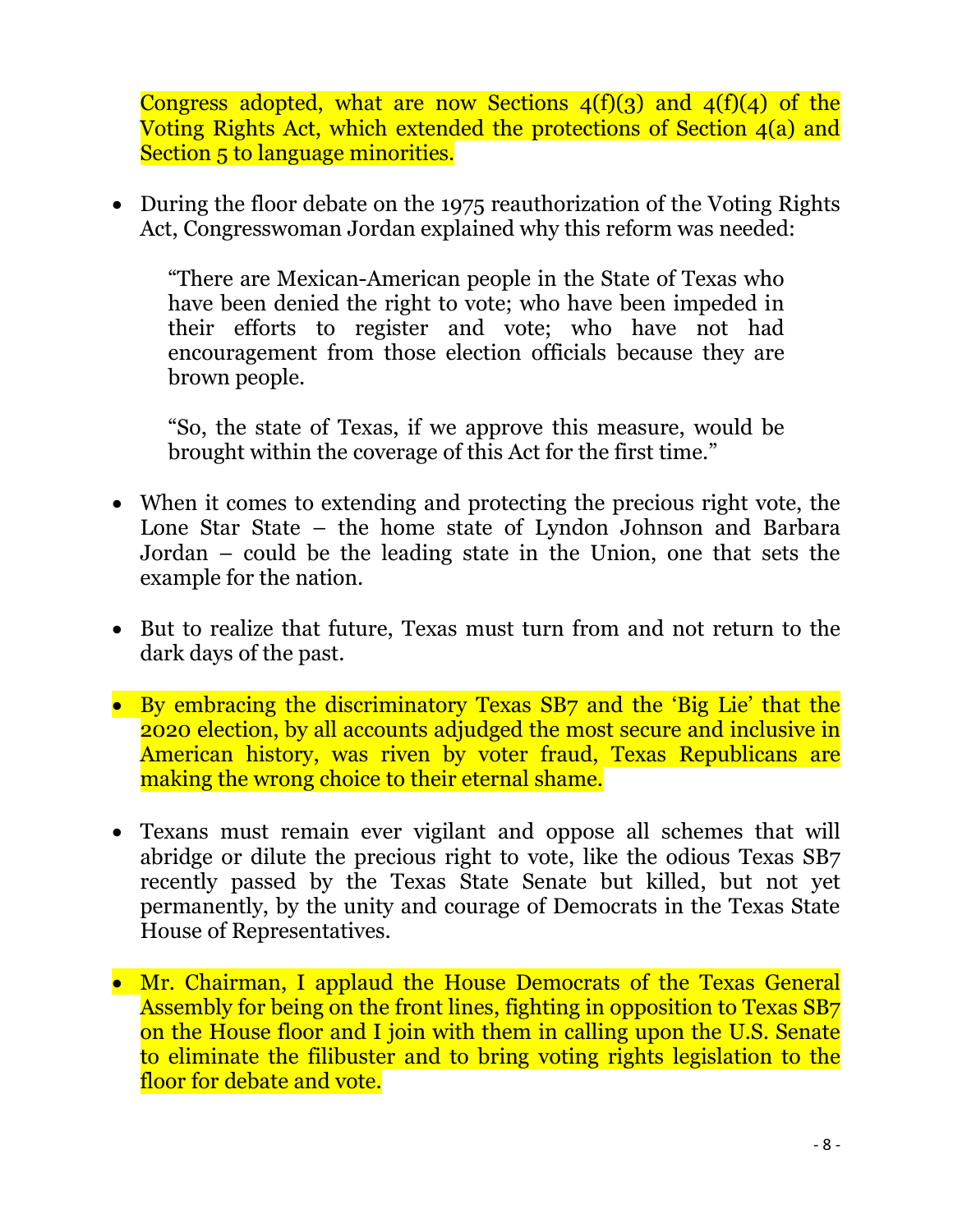Congress adopted, what are now Sections  $4(f)(3)$  and  $4(f)(4)$  of the Voting Rights Act, which extended the protections of Section 4(a) and Section 5 to language minorities.

• During the floor debate on the 1975 reauthorization of the Voting Rights Act, Congresswoman Jordan explained why this reform was needed:

"There are Mexican-American people in the State of Texas who have been denied the right to vote; who have been impeded in their efforts to register and vote; who have not had encouragement from those election officials because they are brown people.

"So, the state of Texas, if we approve this measure, would be brought within the coverage of this Act for the first time."

- When it comes to extending and protecting the precious right vote, the Lone Star State – the home state of Lyndon Johnson and Barbara Jordan – could be the leading state in the Union, one that sets the example for the nation.
- But to realize that future, Texas must turn from and not return to the dark days of the past.
- By embracing the discriminatory Texas SB7 and the 'Big Lie' that the 2020 election, by all accounts adjudged the most secure and inclusive in American history, was riven by voter fraud, Texas Republicans are making the wrong choice to their eternal shame.
- Texans must remain ever vigilant and oppose all schemes that will abridge or dilute the precious right to vote, like the odious Texas SB7 recently passed by the Texas State Senate but killed, but not yet permanently, by the unity and courage of Democrats in the Texas State House of Representatives.
- Mr. Chairman, I applaud the House Democrats of the Texas General Assembly for being on the front lines, fighting in opposition to Texas SB7 on the House floor and I join with them in calling upon the U.S. Senate to eliminate the filibuster and to bring voting rights legislation to the floor for debate and vote.